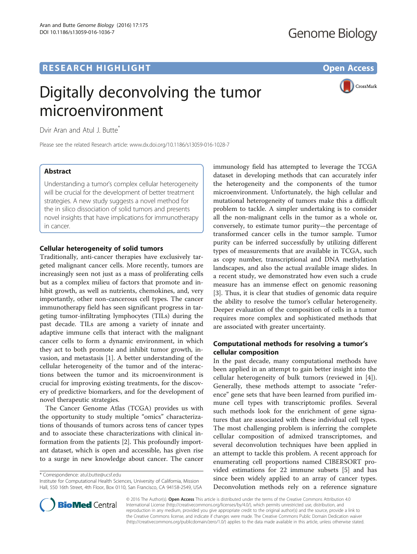## **RESEARCH HIGHLIGHT** THE OPEN ACCESS OPEN ACCESS

# Digitally deconvolving the tumor microenvironment

CrossMark

Dvir Aran and Atul J. Butte<sup>\*</sup>

Please see the related Research article: [www.dx.doi.org/10.1186/s13059-016-1028-7](http://www.dx.doi.org/10.1186/s13059-016-1028-7)

## Abstract

Understanding a tumor's complex cellular heterogeneity will be crucial for the development of better treatment strategies. A new study suggests a novel method for the in silico dissociation of solid tumors and presents novel insights that have implications for immunotherapy in cancer.

## Cellular heterogeneity of solid tumors

Traditionally, anti-cancer therapies have exclusively targeted malignant cancer cells. More recently, tumors are increasingly seen not just as a mass of proliferating cells but as a complex milieu of factors that promote and inhibit growth, as well as nutrients, chemokines, and, very importantly, other non-cancerous cell types. The cancer immunotherapy field has seen significant progress in targeting tumor-infiltrating lymphocytes (TILs) during the past decade. TILs are among a variety of innate and adaptive immune cells that interact with the malignant cancer cells to form a dynamic environment, in which they act to both promote and inhibit tumor growth, invasion, and metastasis [\[1](#page-2-0)]. A better understanding of the cellular heterogeneity of the tumor and of the interactions between the tumor and its microenvironment is crucial for improving existing treatments, for the discovery of predictive biomarkers, and for the development of novel therapeutic strategies.

The Cancer Genome Atlas (TCGA) provides us with the opportunity to study multiple "omics" characterizations of thousands of tumors across tens of cancer types and to associate these characterizations with clinical information from the patients [\[2](#page-2-0)]. This profoundly important dataset, which is open and accessible, has given rise to a surge in new knowledge about cancer. The cancer

\* Correspondence: [atul.butte@ucsf.edu](mailto:atul.butte@ucsf.edu)

Institute for Computational Health Sciences, University of California, Mission Hall, 550 16th Street, 4th Floor, Box 0110, San Francisco, CA 94158-2549, USA immunology field has attempted to leverage the TCGA dataset in developing methods that can accurately infer the heterogeneity and the components of the tumor microenvironment. Unfortunately, the high cellular and mutational heterogeneity of tumors make this a difficult problem to tackle. A simpler undertaking is to consider all the non-malignant cells in the tumor as a whole or, conversely, to estimate tumor purity—the percentage of transformed cancer cells in the tumor sample. Tumor purity can be inferred successfully by utilizing different types of measurements that are available in TCGA, such as copy number, transcriptional and DNA methylation landscapes, and also the actual available image slides. In a recent study, we demonstrated how even such a crude measure has an immense effect on genomic reasoning [[3\]](#page-2-0). Thus, it is clear that studies of genomic data require the ability to resolve the tumor's cellular heterogeneity. Deeper evaluation of the composition of cells in a tumor requires more complex and sophisticated methods that are associated with greater uncertainty.

## Computational methods for resolving a tumor's cellular composition

In the past decade, many computational methods have been applied in an attempt to gain better insight into the cellular heterogeneity of bulk tumors (reviewed in [\[4](#page-2-0)]). Generally, these methods attempt to associate "reference" gene sets that have been learned from purified immune cell types with transcriptomic profiles. Several such methods look for the enrichment of gene signatures that are associated with these individual cell types. The most challenging problem is inferring the complete cellular composition of admixed transcriptomes, and several deconvolution techniques have been applied in an attempt to tackle this problem. A recent approach for enumerating cell proportions named CIBERSORT provided estimations for 22 immune subsets [[5\]](#page-2-0) and has since been widely applied to an array of cancer types. Deconvolution methods rely on a reference signature



© 2016 The Author(s). Open Access This article is distributed under the terms of the Creative Commons Attribution 4.0 International License [\(http://creativecommons.org/licenses/by/4.0/](http://creativecommons.org/licenses/by/4.0/)), which permits unrestricted use, distribution, and reproduction in any medium, provided you give appropriate credit to the original author(s) and the source, provide a link to the Creative Commons license, and indicate if changes were made. The Creative Commons Public Domain Dedication waiver [\(http://creativecommons.org/publicdomain/zero/1.0/](http://creativecommons.org/publicdomain/zero/1.0/)) applies to the data made available in this article, unless otherwise stated.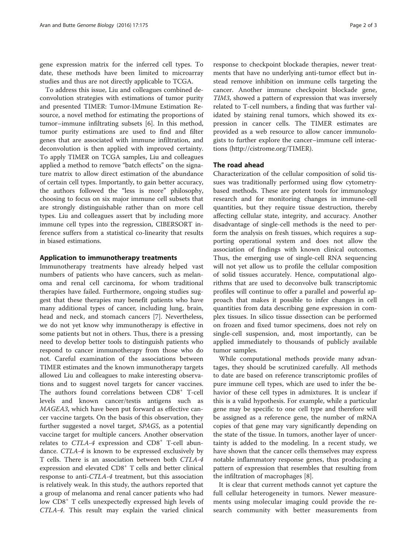gene expression matrix for the inferred cell types. To date, these methods have been limited to microarray studies and thus are not directly applicable to TCGA.

To address this issue, Liu and colleagues combined deconvolution strategies with estimations of tumor purity and presented TIMER: Tumor-IMmune Estimation Resource, a novel method for estimating the proportions of tumor–immune infiltrating subsets [[6](#page-2-0)]. In this method, tumor purity estimations are used to find and filter genes that are associated with immune infiltration, and deconvolution is then applied with improved certainty. To apply TIMER on TCGA samples, Liu and colleagues applied a method to remove "batch effects" on the signature matrix to allow direct estimation of the abundance of certain cell types. Importantly, to gain better accuracy, the authors followed the "less is more" philosophy, choosing to focus on six major immune cell subsets that are strongly distinguishable rather than on more cell types. Liu and colleagues assert that by including more immune cell types into the regression, CIBERSORT inference suffers from a statistical co-linearity that results in biased estimations.

#### Application to immunotherapy treatments

Immunotherapy treatments have already helped vast numbers of patients who have cancers, such as melanoma and renal cell carcinoma, for whom traditional therapies have failed. Furthermore, ongoing studies suggest that these therapies may benefit patients who have many additional types of cancer, including lung, brain, head and neck, and stomach cancers [[7\]](#page-2-0). Nevertheless, we do not yet know why immunotherapy is effective in some patients but not in others. Thus, there is a pressing need to develop better tools to distinguish patients who respond to cancer immunotherapy from those who do not. Careful examination of the associations between TIMER estimates and the known immunotherapy targets allowed Liu and colleagues to make interesting observations and to suggest novel targets for cancer vaccines. The authors found correlations between CD8<sup>+</sup> T-cell levels and known cancer/testis antigens such as MAGEA3, which have been put forward as effective cancer vaccine targets. On the basis of this observation, they further suggested a novel target, SPAG5, as a potential vaccine target for multiple cancers. Another observation relates to  $CTLA-4$  expression and  $CD8<sup>+</sup>$  T-cell abundance. CTLA-4 is known to be expressed exclusively by T cells. There is an association between both CTLA-4 expression and elevated CD8<sup>+</sup> T cells and better clinical response to anti-CTLA-4 treatment, but this association is relatively weak. In this study, the authors reported that a group of melanoma and renal cancer patients who had low CD8<sup>+</sup> T cells unexpectedly expressed high levels of CTLA-4. This result may explain the varied clinical

response to checkpoint blockade therapies, newer treatments that have no underlying anti-tumor effect but instead remove inhibition on immune cells targeting the cancer. Another immune checkpoint blockade gene, TIM3, showed a pattern of expression that was inversely related to T-cell numbers, a finding that was further validated by staining renal tumors, which showed its expression in cancer cells. The TIMER estimates are provided as a web resource to allow cancer immunologists to further explore the cancer–immune cell interactions (<http://cistrome.org/TIMER>).

### The road ahead

Characterization of the cellular composition of solid tissues was traditionally performed using flow cytometrybased methods. These are potent tools for immunology research and for monitoring changes in immune-cell quantities, but they require tissue destruction, thereby affecting cellular state, integrity, and accuracy. Another disadvantage of single-cell methods is the need to perform the analysis on fresh tissues, which requires a supporting operational system and does not allow the association of findings with known clinical outcomes. Thus, the emerging use of single-cell RNA sequencing will not yet allow us to profile the cellular composition of solid tissues accurately. Hence, computational algorithms that are used to deconvolve bulk transcriptomic profiles will continue to offer a parallel and powerful approach that makes it possible to infer changes in cell quantities from data describing gene expression in complex tissues. In silico tissue dissection can be performed on frozen and fixed tumor specimens, does not rely on single-cell suspension, and, most importantly, can be applied immediately to thousands of publicly available tumor samples.

While computational methods provide many advantages, they should be scrutinized carefully. All methods to date are based on reference transcriptomic profiles of pure immune cell types, which are used to infer the behavior of these cell types in admixtures. It is unclear if this is a valid hypothesis. For example, while a particular gene may be specific to one cell type and therefore will be assigned as a reference gene, the number of mRNA copies of that gene may vary significantly depending on the state of the tissue. In tumors, another layer of uncertainty is added to the modeling. In a recent study, we have shown that the cancer cells themselves may express notable inflammatory response genes, thus producing a pattern of expression that resembles that resulting from the infiltration of macrophages [[8](#page-2-0)].

It is clear that current methods cannot yet capture the full cellular heterogeneity in tumors. Newer measurements using molecular imaging could provide the research community with better measurements from